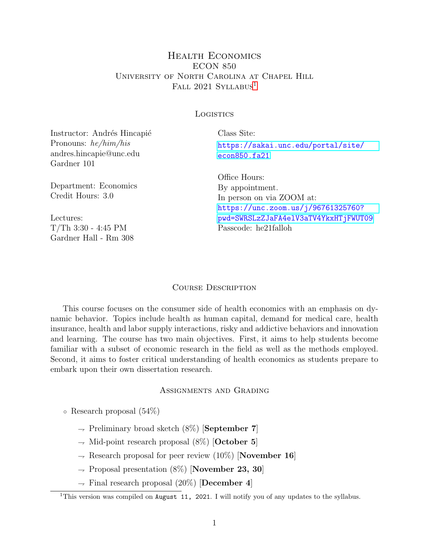## Health Economics ECON 850 University of North Carolina at Chapel Hill FALL 202[1](#page-0-0) SYLLABUS<sup>1</sup>

#### **LOGISTICS**

Instructor: Andrés Hincapié Pronouns: he/him/his andres.hincapie@unc.edu Gardner 101

Department: Economics Credit Hours: 3.0

Lectures: T/Th 3:30 - 4:45 PM Gardner Hall - Rm 308 Class Site: [https://sakai.unc.edu/portal/site/](https://sakai.unc.edu/portal/site/econ850.fa21) [econ850.fa21](https://sakai.unc.edu/portal/site/econ850.fa21)

Office Hours: By appointment. In person on via ZOOM at: [https://unc.zoom.us/j/96761325760?](https://unc.zoom.us/j/96761325760?pwd=SWRSLzZJaFA4elV3aTV4YkxHTjFWUT09) [pwd=SWRSLzZJaFA4elV3aTV4YkxHTjFWUT09](https://unc.zoom.us/j/96761325760?pwd=SWRSLzZJaFA4elV3aTV4YkxHTjFWUT09) Passcode: he21falloh

#### COURSE DESCRIPTION

This course focuses on the consumer side of health economics with an emphasis on dynamic behavior. Topics include health as human capital, demand for medical care, health insurance, health and labor supply interactions, risky and addictive behaviors and innovation and learning. The course has two main objectives. First, it aims to help students become familiar with a subset of economic research in the field as well as the methods employed. Second, it aims to foster critical understanding of health economics as students prepare to embark upon their own dissertation research.

#### Assignments and Grading

- Research proposal (54%)
	- $\rightarrow$  Preliminary broad sketch (8%) [September 7]
	- $\rightarrow$  Mid-point research proposal (8%) [October 5]
	- $\rightarrow$  Research proposal for peer review (10%) [November 16]
	- $\rightarrow$  Proposal presentation (8%) [November 23, 30]
	- $\rightarrow$  Final research proposal (20%) [December 4]

<span id="page-0-0"></span><sup>&</sup>lt;sup>1</sup>This version was compiled on August 11, 2021. I will notify you of any updates to the syllabus.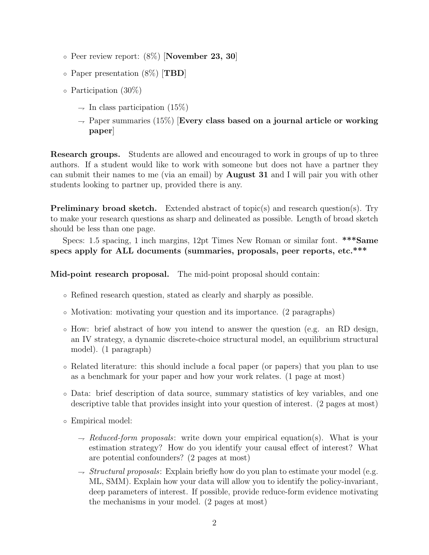- $\circ$  Peer review report:  $(8\%)$  [November 23, 30]
- Paper presentation (8%) [TBD]
- Participation (30%)
	- $\rightarrow$  In class participation (15%)
	- $\rightarrow$  Paper summaries (15%) [Every class based on a journal article or working paper]

Research groups. Students are allowed and encouraged to work in groups of up to three authors. If a student would like to work with someone but does not have a partner they can submit their names to me (via an email) by August 31 and I will pair you with other students looking to partner up, provided there is any.

Preliminary broad sketch. Extended abstract of topic(s) and research question(s). Try to make your research questions as sharp and delineated as possible. Length of broad sketch should be less than one page.

Specs: 1.5 spacing, 1 inch margins, 12pt Times New Roman or similar font. \*\*\*Same specs apply for ALL documents (summaries, proposals, peer reports, etc.\*\*\*

Mid-point research proposal. The mid-point proposal should contain:

- Refined research question, stated as clearly and sharply as possible.
- Motivation: motivating your question and its importance. (2 paragraphs)
- How: brief abstract of how you intend to answer the question (e.g. an RD design, an IV strategy, a dynamic discrete-choice structural model, an equilibrium structural model). (1 paragraph)
- Related literature: this should include a focal paper (or papers) that you plan to use as a benchmark for your paper and how your work relates. (1 page at most)
- Data: brief description of data source, summary statistics of key variables, and one descriptive table that provides insight into your question of interest. (2 pages at most)
- Empirical model:
	- $\rightarrow$  Reduced-form proposals: write down your empirical equation(s). What is your estimation strategy? How do you identify your causal effect of interest? What are potential confounders? (2 pages at most)
	- $\rightarrow$  *Structural proposals:* Explain briefly how do you plan to estimate your model (e.g. ML, SMM). Explain how your data will allow you to identify the policy-invariant, deep parameters of interest. If possible, provide reduce-form evidence motivating the mechanisms in your model. (2 pages at most)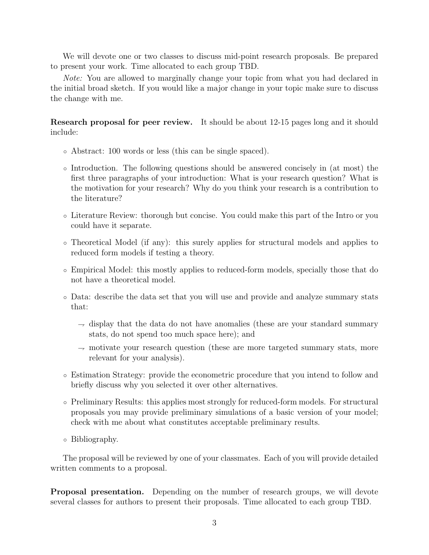We will devote one or two classes to discuss mid-point research proposals. Be prepared to present your work. Time allocated to each group TBD.

Note: You are allowed to marginally change your topic from what you had declared in the initial broad sketch. If you would like a major change in your topic make sure to discuss the change with me.

Research proposal for peer review. It should be about 12-15 pages long and it should include:

- Abstract: 100 words or less (this can be single spaced).
- Introduction. The following questions should be answered concisely in (at most) the first three paragraphs of your introduction: What is your research question? What is the motivation for your research? Why do you think your research is a contribution to the literature?
- Literature Review: thorough but concise. You could make this part of the Intro or you could have it separate.
- Theoretical Model (if any): this surely applies for structural models and applies to reduced form models if testing a theory.
- Empirical Model: this mostly applies to reduced-form models, specially those that do not have a theoretical model.
- Data: describe the data set that you will use and provide and analyze summary stats that:
	- $\rightarrow$  display that the data do not have anomalies (these are your standard summary stats, do not spend too much space here); and
	- $\rightarrow$  motivate your research question (these are more targeted summary stats, more relevant for your analysis).
- Estimation Strategy: provide the econometric procedure that you intend to follow and briefly discuss why you selected it over other alternatives.
- Preliminary Results: this applies most strongly for reduced-form models. For structural proposals you may provide preliminary simulations of a basic version of your model; check with me about what constitutes acceptable preliminary results.
- Bibliography.

The proposal will be reviewed by one of your classmates. Each of you will provide detailed written comments to a proposal.

Proposal presentation. Depending on the number of research groups, we will devote several classes for authors to present their proposals. Time allocated to each group TBD.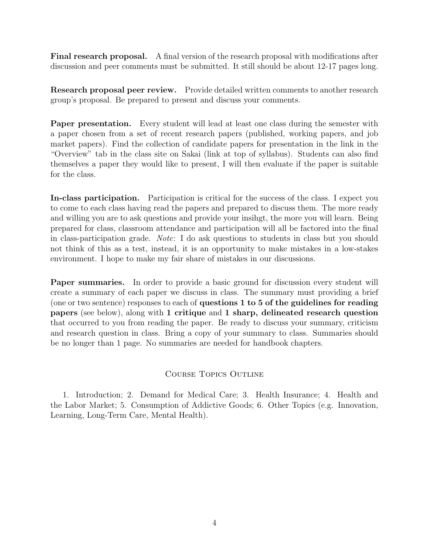Final research proposal. A final version of the research proposal with modifications after discussion and peer comments must be submitted. It still should be about 12-17 pages long.

Research proposal peer review. Provide detailed written comments to another research group's proposal. Be prepared to present and discuss your comments.

**Paper presentation.** Every student will lead at least one class during the semester with a paper chosen from a set of recent research papers (published, working papers, and job market papers). Find the collection of candidate papers for presentation in the link in the "Overview" tab in the class site on Sakai (link at top of syllabus). Students can also find themselves a paper they would like to present, I will then evaluate if the paper is suitable for the class.

In-class participation. Participation is critical for the success of the class. I expect you to come to each class having read the papers and prepared to discuss them. The more ready and willing you are to ask questions and provide your insihgt, the more you will learn. Being prepared for class, classroom attendance and participation will all be factored into the final in class-participation grade. Note: I do ask questions to students in class but you should not think of this as a test, instead, it is an opportunity to make mistakes in a low-stakes environment. I hope to make my fair share of mistakes in our discussions.

Paper summaries. In order to provide a basic ground for discussion every student will create a summary of each paper we discuss in class. The summary must providing a brief (one or two sentence) responses to each of questions 1 to 5 of the guidelines for reading papers (see below), along with 1 critique and 1 sharp, delineated research question that occurred to you from reading the paper. Be ready to discuss your summary, criticism and research question in class. Bring a copy of your summary to class. Summaries should be no longer than 1 page. No summaries are needed for handbook chapters.

### Course Topics Outline

1. Introduction; 2. Demand for Medical Care; 3. Health Insurance; 4. Health and the Labor Market; 5. Consumption of Addictive Goods; 6. Other Topics (e.g. Innovation, Learning, Long-Term Care, Mental Health).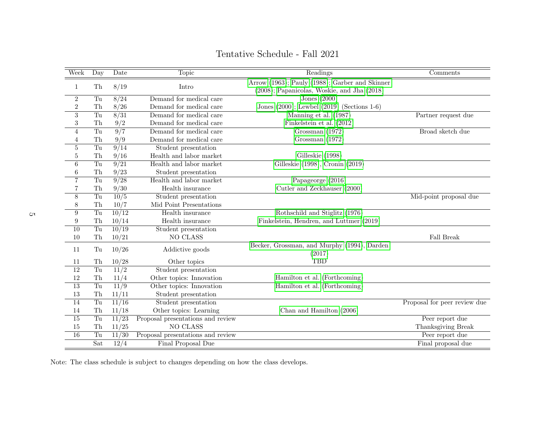| Week             | Day                    | Date            | Topic                             | Readings                                       | Comments                     |
|------------------|------------------------|-----------------|-----------------------------------|------------------------------------------------|------------------------------|
| $\mathbf{1}$     | ${\rm Th}$             | 8/19            | Intro                             | Arrow (1963); Pauly (1988); Garber and Skinner |                              |
|                  |                        |                 |                                   | (2008); Papanicolas, Woskie, and Jha (2018)    |                              |
| $\overline{2}$   | Tu                     | 8/24            | Demand for medical care           | Jones $(2000)$                                 |                              |
| $\overline{2}$   | Th                     | 8/26            | Demand for medical care           | Jones (2000); Lewbel (2019) (Sections 1-6)     |                              |
| 3                | Tu                     | 8/31            | Demand for medical care           | Manning et al. (1987)                          | Partner request due          |
| 3                | ${\rm Th}$             | 9/2             | Demand for medical care           | Finkelstein et al. (2012)                      |                              |
| $\overline{4}$   | T <sub>u</sub>         | 9/7             | Demand for medical care           | Grossman $(1972)$                              | Broad sketch due             |
| 4                | ${\rm Th}$             | 9/9             | Demand for medical care           | Grossman (1972)                                |                              |
| $\overline{5}$   | Tu                     | 9/14            | Student presentation              |                                                |                              |
| $\overline{5}$   | ${\rm Th}$             | 9/16            | Health and labor market           | Gilleskie (1998)                               |                              |
| 6                | Tu                     | $\sqrt{9/21}$   | Health and labor market           | Gilleskie (1998), Cronin (2019)                |                              |
| 6                | ${\rm Th}$             | 9/23            | Student presentation              |                                                |                              |
| $\overline{7}$   | $\overline{\text{Tu}}$ | $\frac{9}{28}$  | Health and labor market           | Papageorge $(2016)$                            |                              |
| $\overline{7}$   | ${\rm Th}$             | 9/30            | Health insurance                  | Cutler and Zeckhauser (2000)                   |                              |
| $\overline{8}$   | $\overline{\text{Tu}}$ | 10/5            | Student presentation              |                                                | Mid-point proposal due       |
| 8                | Th                     | 10/7            | Mid Point Presentations           |                                                |                              |
| 9                | $\overline{\text{Tu}}$ | $\frac{10}{12}$ | Health insurance                  | Rothschild and Stiglitz (1976)                 |                              |
| $\boldsymbol{9}$ | Th                     | 10/14           | Health insurance                  | Finkelstein, Hendren, and Luttmer (2019)       |                              |
| $\overline{10}$  | Tu                     | $\frac{10}{19}$ | Student presentation              |                                                |                              |
| 10               | Th                     | 10/21           | NO CLASS                          |                                                | <b>Fall Break</b>            |
| 11               | Tu                     | 10/26           | Addictive goods                   | Becker, Grossman, and Murphy (1994), Darden    |                              |
|                  |                        |                 |                                   | (2017)                                         |                              |
| 11               | Th                     | 10/28           | Other topics                      | <b>TBD</b>                                     |                              |
| 12               | Tu                     | 11/2            | Student presentation              |                                                |                              |
| 12               | ${\rm Th}$             | 11/4            | Other topics: Innovation          | Hamilton et al. (Forthcoming)                  |                              |
| $\overline{13}$  | Tu                     | 11/9            | Other topics: Innovation          | Hamilton et al. (Forthcoming)                  |                              |
| 13               | ${\rm Th}$             | 11/11           | Student presentation              |                                                |                              |
| 14               | Tu                     | 11/16           | Student presentation              |                                                | Proposal for peer review due |
| 14               | Th                     | 11/18           | Other topics: Learning            | Chan and Hamilton (2006)                       |                              |
| $\overline{15}$  | Tu                     | $\frac{11}{23}$ | Proposal presentations and review |                                                | Peer report due              |
| 15               | Th                     | 11/25           | NO CLASS                          |                                                | Thanksgiving Break           |
| 16               | $\overline{\text{Tu}}$ | 11/30           | Proposal presentations and review |                                                | Peer report due              |
|                  | Sat                    | 12/4            | Final Proposal Due                |                                                | Final proposal due           |

Tentative Schedule - Fall 2021

Note: The class schedule is subject to changes depending on how the class develops.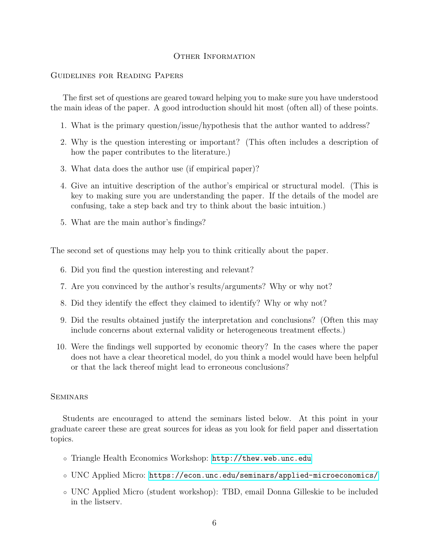#### OTHER INFORMATION

#### Guidelines for Reading Papers

The first set of questions are geared toward helping you to make sure you have understood the main ideas of the paper. A good introduction should hit most (often all) of these points.

- 1. What is the primary question/issue/hypothesis that the author wanted to address?
- 2. Why is the question interesting or important? (This often includes a description of how the paper contributes to the literature.)
- 3. What data does the author use (if empirical paper)?
- 4. Give an intuitive description of the author's empirical or structural model. (This is key to making sure you are understanding the paper. If the details of the model are confusing, take a step back and try to think about the basic intuition.)
- 5. What are the main author's findings?

The second set of questions may help you to think critically about the paper.

- 6. Did you find the question interesting and relevant?
- 7. Are you convinced by the author's results/arguments? Why or why not?
- 8. Did they identify the effect they claimed to identify? Why or why not?
- 9. Did the results obtained justify the interpretation and conclusions? (Often this may include concerns about external validity or heterogeneous treatment effects.)
- 10. Were the findings well supported by economic theory? In the cases where the paper does not have a clear theoretical model, do you think a model would have been helpful or that the lack thereof might lead to erroneous conclusions?

#### **SEMINARS**

Students are encouraged to attend the seminars listed below. At this point in your graduate career these are great sources for ideas as you look for field paper and dissertation topics.

- Triangle Health Economics Workshop: <http://thew.web.unc.edu>
- UNC Applied Micro: <https://econ.unc.edu/seminars/applied-microeconomics/>
- UNC Applied Micro (student workshop): TBD, email Donna Gilleskie to be included in the listserv.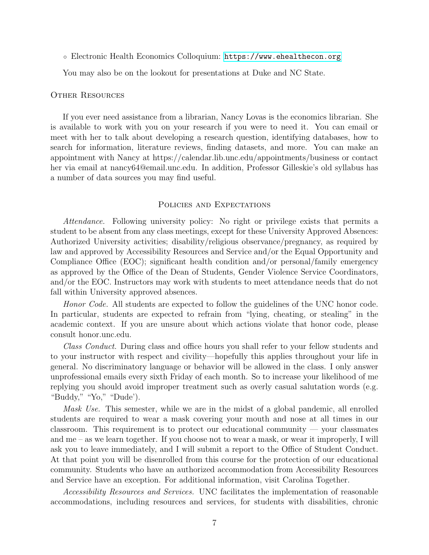◦ Electronic Health Economics Colloquium: <https://www.ehealthecon.org>

You may also be on the lookout for presentations at Duke and NC State.

#### Other Resources

If you ever need assistance from a librarian, Nancy Lovas is the economics librarian. She is available to work with you on your research if you were to need it. You can email or meet with her to talk about developing a research question, identifying databases, how to search for information, literature reviews, finding datasets, and more. You can make an appointment with Nancy at https://calendar.lib.unc.edu/appointments/business or contact her via email at nancy64@email.unc.edu. In addition, Professor Gilleskie's old syllabus has a number of data sources you may find useful.

#### POLICIES AND EXPECTATIONS

Attendance. Following university policy: No right or privilege exists that permits a student to be absent from any class meetings, except for these University Approved Absences: Authorized University activities; disability/religious observance/pregnancy, as required by law and approved by Accessibility Resources and Service and/or the Equal Opportunity and Compliance Office (EOC); significant health condition and/or personal/family emergency as approved by the Office of the Dean of Students, Gender Violence Service Coordinators, and/or the EOC. Instructors may work with students to meet attendance needs that do not fall within University approved absences.

Honor Code. All students are expected to follow the guidelines of the UNC honor code. In particular, students are expected to refrain from "lying, cheating, or stealing" in the academic context. If you are unsure about which actions violate that honor code, please consult honor.unc.edu.

Class Conduct. During class and office hours you shall refer to your fellow students and to your instructor with respect and civility—hopefully this applies throughout your life in general. No discriminatory language or behavior will be allowed in the class. I only answer unprofessional emails every sixth Friday of each month. So to increase your likelihood of me replying you should avoid improper treatment such as overly casual salutation words (e.g. "Buddy," "Yo," "Dude').

Mask Use. This semester, while we are in the midst of a global pandemic, all enrolled students are required to wear a mask covering your mouth and nose at all times in our classroom. This requirement is to protect our educational community — your classmates and me – as we learn together. If you choose not to wear a mask, or wear it improperly, I will ask you to leave immediately, and I will submit a report to the Office of Student Conduct. At that point you will be disenrolled from this course for the protection of our educational community. Students who have an authorized accommodation from Accessibility Resources and Service have an exception. For additional information, visit Carolina Together.

Accessibility Resources and Services. UNC facilitates the implementation of reasonable accommodations, including resources and services, for students with disabilities, chronic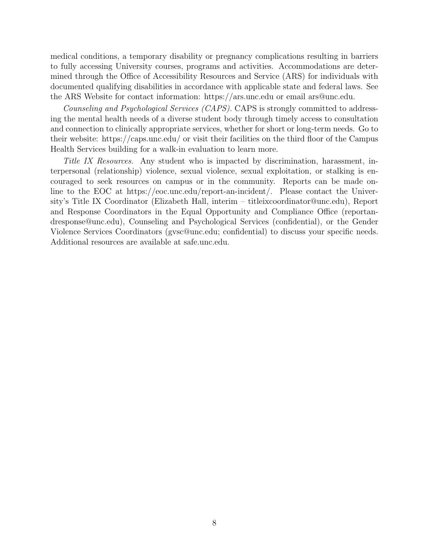medical conditions, a temporary disability or pregnancy complications resulting in barriers to fully accessing University courses, programs and activities. Accommodations are determined through the Office of Accessibility Resources and Service (ARS) for individuals with documented qualifying disabilities in accordance with applicable state and federal laws. See the ARS Website for contact information: https://ars.unc.edu or email ars@unc.edu.

Counseling and Psychological Services (CAPS). CAPS is strongly committed to addressing the mental health needs of a diverse student body through timely access to consultation and connection to clinically appropriate services, whether for short or long-term needs. Go to their website: https://caps.unc.edu/ or visit their facilities on the third floor of the Campus Health Services building for a walk-in evaluation to learn more.

Title IX Resources. Any student who is impacted by discrimination, harassment, interpersonal (relationship) violence, sexual violence, sexual exploitation, or stalking is encouraged to seek resources on campus or in the community. Reports can be made online to the EOC at https://eoc.unc.edu/report-an-incident/. Please contact the University's Title IX Coordinator (Elizabeth Hall, interim – titleixcoordinator@unc.edu), Report and Response Coordinators in the Equal Opportunity and Compliance Office (reportandresponse@unc.edu), Counseling and Psychological Services (confidential), or the Gender Violence Services Coordinators (gvsc@unc.edu; confidential) to discuss your specific needs. Additional resources are available at safe.unc.edu.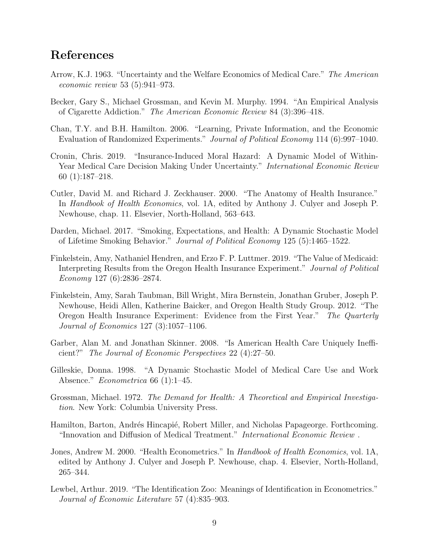# <span id="page-8-13"></span><span id="page-8-12"></span><span id="page-8-11"></span><span id="page-8-10"></span><span id="page-8-9"></span><span id="page-8-8"></span><span id="page-8-7"></span><span id="page-8-6"></span><span id="page-8-5"></span><span id="page-8-4"></span><span id="page-8-3"></span><span id="page-8-2"></span><span id="page-8-1"></span><span id="page-8-0"></span>References

- Arrow, K.J. 1963. "Uncertainty and the Welfare Economics of Medical Care." The American economic review 53 (5):941–973.
- Becker, Gary S., Michael Grossman, and Kevin M. Murphy. 1994. "An Empirical Analysis of Cigarette Addiction." The American Economic Review 84 (3):396–418.
- Chan, T.Y. and B.H. Hamilton. 2006. "Learning, Private Information, and the Economic Evaluation of Randomized Experiments." Journal of Political Economy 114 (6):997–1040.
- Cronin, Chris. 2019. "Insurance-Induced Moral Hazard: A Dynamic Model of Within-Year Medical Care Decision Making Under Uncertainty." *International Economic Review* 60 (1):187–218.
- Cutler, David M. and Richard J. Zeckhauser. 2000. "The Anatomy of Health Insurance." In Handbook of Health Economics, vol. 1A, edited by Anthony J. Culyer and Joseph P. Newhouse, chap. 11. Elsevier, North-Holland, 563–643.
- Darden, Michael. 2017. "Smoking, Expectations, and Health: A Dynamic Stochastic Model of Lifetime Smoking Behavior." Journal of Political Economy 125 (5):1465–1522.
- Finkelstein, Amy, Nathaniel Hendren, and Erzo F. P. Luttmer. 2019. "The Value of Medicaid: Interpreting Results from the Oregon Health Insurance Experiment." Journal of Political Economy 127 (6):2836–2874.
- Finkelstein, Amy, Sarah Taubman, Bill Wright, Mira Bernstein, Jonathan Gruber, Joseph P. Newhouse, Heidi Allen, Katherine Baicker, and Oregon Health Study Group. 2012. "The Oregon Health Insurance Experiment: Evidence from the First Year." The Quarterly Journal of Economics 127 (3):1057–1106.
- Garber, Alan M. and Jonathan Skinner. 2008. "Is American Health Care Uniquely Inefficient?" The Journal of Economic Perspectives 22 (4):27–50.
- Gilleskie, Donna. 1998. "A Dynamic Stochastic Model of Medical Care Use and Work Absence." *Econometrica* 66 (1):1–45.
- Grossman, Michael. 1972. The Demand for Health: A Theoretical and Empirical Investigation. New York: Columbia University Press.
- Hamilton, Barton, Andrés Hincapié, Robert Miller, and Nicholas Papageorge. Forthcoming. "Innovation and Diffusion of Medical Treatment." International Economic Review .
- Jones, Andrew M. 2000. "Health Econometrics." In Handbook of Health Economics, vol. 1A, edited by Anthony J. Culyer and Joseph P. Newhouse, chap. 4. Elsevier, North-Holland, 265–344.
- Lewbel, Arthur. 2019. "The Identification Zoo: Meanings of Identification in Econometrics." Journal of Economic Literature 57 (4):835–903.